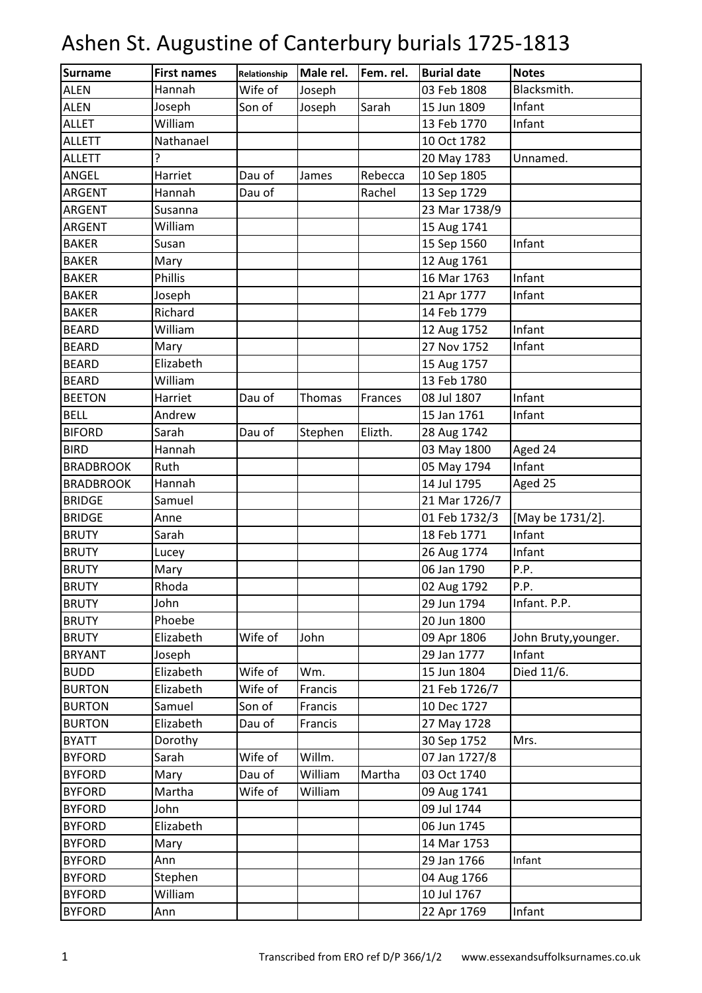#### Surname | First names | Relationship | Male rel. | Fem. rel. | Burial date | Notes ALEN Hannah Wife of Joseph 03 Feb 1808 Blacksmith. ALEN Joseph Son of Joseph Sarah 15 Jun 1809 Infant ALLET William 13 Feb 1770 Infant ALLETT Nathanael 10 Oct 1782 ALLETT ? 20 May 1783 Unnamed. ANGEL Harriet Dau of James Rebecca 10 Sep 1805 ARGENT Hannah Dau of Rachel 13 Sep 1729 ARGENT Susanna 23 Mar 1738/9 ARGENT William 15 Aug 1741 BAKER Susan 15 Sep 1560 Infant BAKER Mary 12 Aug 1761 BAKER Phillis 16 Mar 1763 Infant BAKER Joseph 21 Apr 1777 Infant BAKER Richard | 14 Feb 1779 BEARD William 12 Aug 1752 Infant BEARD Mary 27 Nov 1752 Infant BEARD Elizabeth 15 Aug 1757 BEARD William Villiam 13 Feb 1780 BEETON Harriet Dau of Thomas Frances 08 Jul 1807 Infant BELL Andrew 15 Jan 1761 Infant BIFORD Sarah | Dau of Stephen Elizth. 28 Aug 1742 BIRD Hannah 03 May 1800 Aged 24 BRADBROOK Ruth 1 1 May 1794 Infant BRADBROOK Hannah | 14 Jul 1795 Aged 25 BRIDGE Samuel 21 Mar 1726/7 BRIDGE Anne 01 Feb 1732/3 [May be 1731/2]. BRUTY Sarah 18 Feb 1771 Infant BRUTY Lucey 26 Aug 1774 Infant BRUTY Mary **Details All Mary P.P. Details All Mary P.P.** BRUTY Rhoda 02 Aug 1792 P.P. BRUTY John 29 Jun 1794 Infant. P.P. BRUTY Phoebe 20 Jun 1800 BRUTY **Elizabeth** Wife of John | 09 Apr 1806 John Bruty, younger. BRYANT Joseph 29 Jan 1777 Infant BUDD Elizabeth Wife of Wm. 15 Jun 1804 Died 11/6. BURTON Elizabeth Wife of Francis | 21 Feb 1726/7 BURTON Samuel Son of Francis 10 Dec 1727 BURTON | Elizabeth | Dau of | Francis | | | 27 May 1728 BYATT Dorothy 30 Sep 1752 Mrs. BYFORD Sarah Wife of Willm. 07 Jan 1727/8 BYFORD Mary Dau of William Martha 03 Oct 1740 BYFORD Martha Wife of William | 09 Aug 1741 BYFORD John 09 Jul 1744 BYFORD Elizabeth 06 Jun 1745 BYFORD Mary 14 Mar 1753 BYFORD Ann 29 Jan 1766 Infant BYFORD Stephen 04 Aug 1766 BYFORD William 10 Jul 1767 BYFORD Ann 22 Apr 1769 | Infant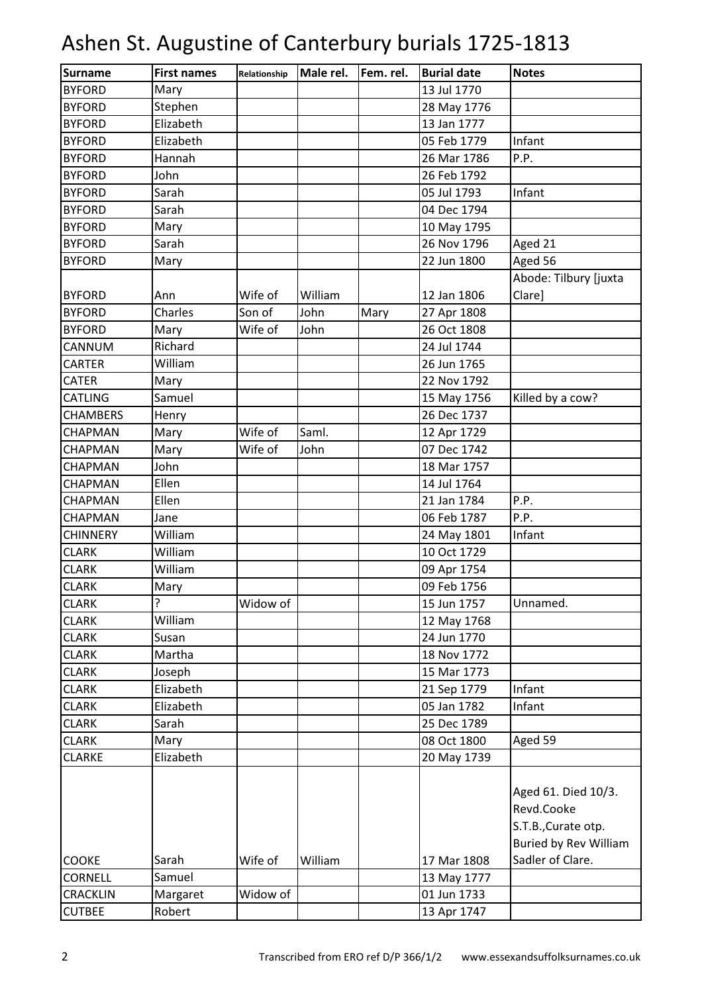| <b>Surname</b>  | <b>First names</b> | Relationship | Male rel. | Fem. rel. | <b>Burial date</b> | <b>Notes</b>                                                                                                 |
|-----------------|--------------------|--------------|-----------|-----------|--------------------|--------------------------------------------------------------------------------------------------------------|
| <b>BYFORD</b>   | Mary               |              |           |           | 13 Jul 1770        |                                                                                                              |
| <b>BYFORD</b>   | Stephen            |              |           |           | 28 May 1776        |                                                                                                              |
| <b>BYFORD</b>   | Elizabeth          |              |           |           | 13 Jan 1777        |                                                                                                              |
| <b>BYFORD</b>   | Elizabeth          |              |           |           | 05 Feb 1779        | Infant                                                                                                       |
| <b>BYFORD</b>   | Hannah             |              |           |           | 26 Mar 1786        | P.P.                                                                                                         |
| <b>BYFORD</b>   | John               |              |           |           | 26 Feb 1792        |                                                                                                              |
| <b>BYFORD</b>   | Sarah              |              |           |           | 05 Jul 1793        | Infant                                                                                                       |
| <b>BYFORD</b>   | Sarah              |              |           |           | 04 Dec 1794        |                                                                                                              |
| <b>BYFORD</b>   | Mary               |              |           |           | 10 May 1795        |                                                                                                              |
| <b>BYFORD</b>   | Sarah              |              |           |           | 26 Nov 1796        | Aged 21                                                                                                      |
| <b>BYFORD</b>   | Mary               |              |           |           | 22 Jun 1800        | Aged 56                                                                                                      |
|                 |                    |              |           |           |                    | Abode: Tilbury [juxta                                                                                        |
| <b>BYFORD</b>   | Ann                | Wife of      | William   |           | 12 Jan 1806        | Clare]                                                                                                       |
| <b>BYFORD</b>   | Charles            | Son of       | John      | Mary      | 27 Apr 1808        |                                                                                                              |
| <b>BYFORD</b>   | Mary               | Wife of      | John      |           | 26 Oct 1808        |                                                                                                              |
| CANNUM          | Richard            |              |           |           | 24 Jul 1744        |                                                                                                              |
| CARTER          | William            |              |           |           | 26 Jun 1765        |                                                                                                              |
| <b>CATER</b>    | Mary               |              |           |           | 22 Nov 1792        |                                                                                                              |
| CATLING         | Samuel             |              |           |           | 15 May 1756        | Killed by a cow?                                                                                             |
| <b>CHAMBERS</b> | Henry              |              |           |           | 26 Dec 1737        |                                                                                                              |
| CHAPMAN         | Mary               | Wife of      | Saml.     |           | 12 Apr 1729        |                                                                                                              |
| CHAPMAN         | Mary               | Wife of      | John      |           | 07 Dec 1742        |                                                                                                              |
| CHAPMAN         | John               |              |           |           | 18 Mar 1757        |                                                                                                              |
| CHAPMAN         | Ellen              |              |           |           | 14 Jul 1764        |                                                                                                              |
| CHAPMAN         | Ellen              |              |           |           | 21 Jan 1784        | P.P.                                                                                                         |
| CHAPMAN         | Jane               |              |           |           | 06 Feb 1787        | P.P.                                                                                                         |
| <b>CHINNERY</b> | William            |              |           |           | 24 May 1801        | Infant                                                                                                       |
| <b>CLARK</b>    | William            |              |           |           | 10 Oct 1729        |                                                                                                              |
| <b>CLARK</b>    | William            |              |           |           | 09 Apr 1754        |                                                                                                              |
| <b>CLARK</b>    | Mary               |              |           |           | 09 Feb 1756        |                                                                                                              |
| <b>CLARK</b>    | ?                  | Widow of     |           |           | 15 Jun 1757        | Unnamed.                                                                                                     |
| <b>CLARK</b>    | William            |              |           |           | 12 May 1768        |                                                                                                              |
| <b>CLARK</b>    | Susan              |              |           |           | 24 Jun 1770        |                                                                                                              |
| <b>CLARK</b>    | Martha             |              |           |           | 18 Nov 1772        |                                                                                                              |
| <b>CLARK</b>    | Joseph             |              |           |           | 15 Mar 1773        |                                                                                                              |
| <b>CLARK</b>    | Elizabeth          |              |           |           | 21 Sep 1779        | Infant                                                                                                       |
| <b>CLARK</b>    | Elizabeth          |              |           |           | 05 Jan 1782        | Infant                                                                                                       |
| <b>CLARK</b>    | Sarah              |              |           |           | 25 Dec 1789        |                                                                                                              |
| <b>CLARK</b>    | Mary               |              |           |           | 08 Oct 1800        | Aged 59                                                                                                      |
| <b>CLARKE</b>   | Elizabeth          |              |           |           | 20 May 1739        |                                                                                                              |
| <b>COOKE</b>    | Sarah              | Wife of      | William   |           | 17 Mar 1808        | Aged 61. Died 10/3.<br>Revd.Cooke<br>S.T.B., Curate otp.<br><b>Buried by Rev William</b><br>Sadler of Clare. |
| CORNELL         | Samuel             |              |           |           | 13 May 1777        |                                                                                                              |
| <b>CRACKLIN</b> | Margaret           | Widow of     |           |           | 01 Jun 1733        |                                                                                                              |
| <b>CUTBEE</b>   | Robert             |              |           |           | 13 Apr 1747        |                                                                                                              |
|                 |                    |              |           |           |                    |                                                                                                              |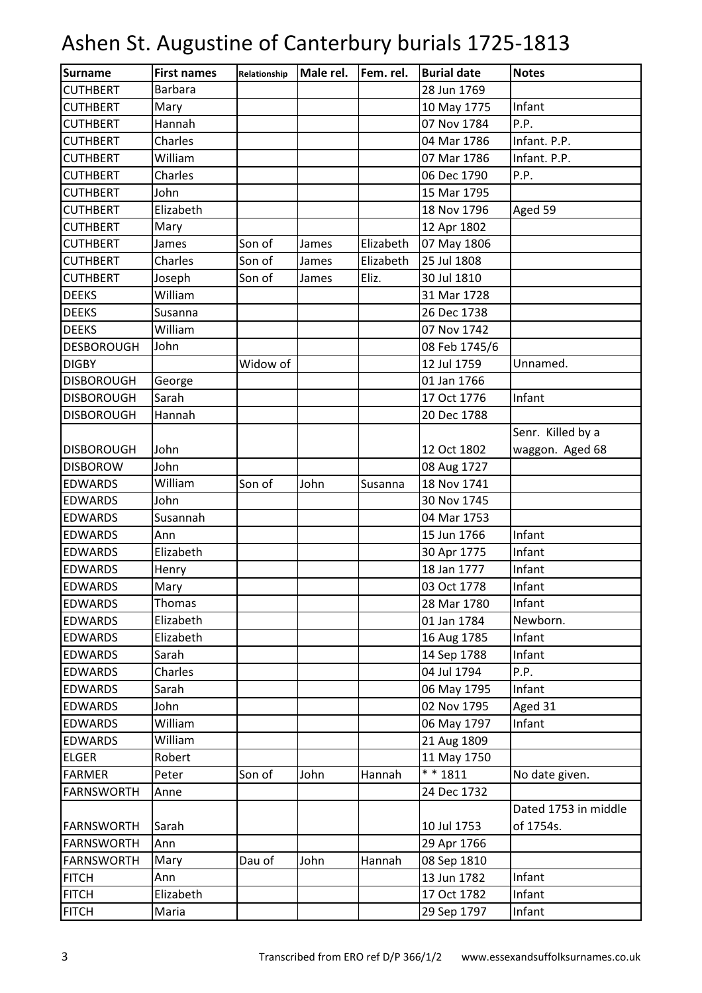| Surname           | <b>First names</b> | Relationship | Male rel. | Fem. rel. | <b>Burial date</b> | <b>Notes</b>         |
|-------------------|--------------------|--------------|-----------|-----------|--------------------|----------------------|
| <b>CUTHBERT</b>   | <b>Barbara</b>     |              |           |           | 28 Jun 1769        |                      |
| <b>CUTHBERT</b>   | Mary               |              |           |           | 10 May 1775        | Infant               |
| <b>CUTHBERT</b>   | Hannah             |              |           |           | 07 Nov 1784        | P.P.                 |
| <b>CUTHBERT</b>   | Charles            |              |           |           | 04 Mar 1786        | Infant. P.P.         |
| <b>CUTHBERT</b>   | William            |              |           |           | 07 Mar 1786        | Infant. P.P.         |
| <b>CUTHBERT</b>   | Charles            |              |           |           | 06 Dec 1790        | P.P.                 |
| <b>CUTHBERT</b>   | John               |              |           |           | 15 Mar 1795        |                      |
| <b>CUTHBERT</b>   | Elizabeth          |              |           |           | 18 Nov 1796        | Aged 59              |
| <b>CUTHBERT</b>   | Mary               |              |           |           | 12 Apr 1802        |                      |
| <b>CUTHBERT</b>   | James              | Son of       | James     | Elizabeth | 07 May 1806        |                      |
| <b>CUTHBERT</b>   | Charles            | Son of       | James     | Elizabeth | 25 Jul 1808        |                      |
| <b>CUTHBERT</b>   | Joseph             | Son of       | James     | Eliz.     | 30 Jul 1810        |                      |
| <b>DEEKS</b>      | William            |              |           |           | 31 Mar 1728        |                      |
| <b>DEEKS</b>      | Susanna            |              |           |           | 26 Dec 1738        |                      |
| <b>DEEKS</b>      | William            |              |           |           | 07 Nov 1742        |                      |
| <b>DESBOROUGH</b> | John               |              |           |           | 08 Feb 1745/6      |                      |
| <b>DIGBY</b>      |                    | Widow of     |           |           | 12 Jul 1759        | Unnamed.             |
| <b>DISBOROUGH</b> | George             |              |           |           | 01 Jan 1766        |                      |
| <b>DISBOROUGH</b> | Sarah              |              |           |           | 17 Oct 1776        | Infant               |
| <b>DISBOROUGH</b> | Hannah             |              |           |           | 20 Dec 1788        |                      |
|                   |                    |              |           |           |                    | Senr. Killed by a    |
| <b>DISBOROUGH</b> | John               |              |           |           | 12 Oct 1802        | waggon. Aged 68      |
| <b>DISBOROW</b>   | John               |              |           |           | 08 Aug 1727        |                      |
| <b>EDWARDS</b>    | William            | Son of       | John      | Susanna   | 18 Nov 1741        |                      |
| <b>EDWARDS</b>    | John               |              |           |           | 30 Nov 1745        |                      |
| <b>EDWARDS</b>    | Susannah           |              |           |           | 04 Mar 1753        |                      |
| <b>EDWARDS</b>    | Ann                |              |           |           | 15 Jun 1766        | Infant               |
| <b>EDWARDS</b>    | Elizabeth          |              |           |           | 30 Apr 1775        | Infant               |
| <b>EDWARDS</b>    | Henry              |              |           |           | 18 Jan 1777        | Infant               |
| <b>EDWARDS</b>    | Mary               |              |           |           | 03 Oct 1778        | Infant               |
| <b>EDWARDS</b>    | Thomas             |              |           |           | 28 Mar 1780        | Infant               |
| <b>EDWARDS</b>    | Elizabeth          |              |           |           | 01 Jan 1784        | Newborn.             |
| <b>EDWARDS</b>    | Elizabeth          |              |           |           | 16 Aug 1785        | Infant               |
| <b>EDWARDS</b>    | Sarah              |              |           |           | 14 Sep 1788        | Infant               |
| <b>EDWARDS</b>    | Charles            |              |           |           | 04 Jul 1794        | P.P.                 |
| <b>EDWARDS</b>    | Sarah              |              |           |           | 06 May 1795        | Infant               |
| <b>EDWARDS</b>    | John               |              |           |           | 02 Nov 1795        | Aged 31              |
| <b>EDWARDS</b>    | William            |              |           |           | 06 May 1797        | Infant               |
| <b>EDWARDS</b>    | William            |              |           |           | 21 Aug 1809        |                      |
| <b>ELGER</b>      | Robert             |              |           |           | 11 May 1750        |                      |
| <b>FARMER</b>     | Peter              | Son of       | John      | Hannah    | $* * 1811$         | No date given.       |
| <b>FARNSWORTH</b> | Anne               |              |           |           | 24 Dec 1732        |                      |
|                   |                    |              |           |           |                    | Dated 1753 in middle |
| <b>FARNSWORTH</b> | Sarah              |              |           |           | 10 Jul 1753        | of 1754s.            |
| <b>FARNSWORTH</b> | Ann                |              |           |           | 29 Apr 1766        |                      |
| <b>FARNSWORTH</b> | Mary               | Dau of       | John      | Hannah    | 08 Sep 1810        |                      |
| <b>FITCH</b>      | Ann                |              |           |           | 13 Jun 1782        | Infant               |
| <b>FITCH</b>      | Elizabeth          |              |           |           | 17 Oct 1782        | Infant               |
| <b>FITCH</b>      | Maria              |              |           |           | 29 Sep 1797        | Infant               |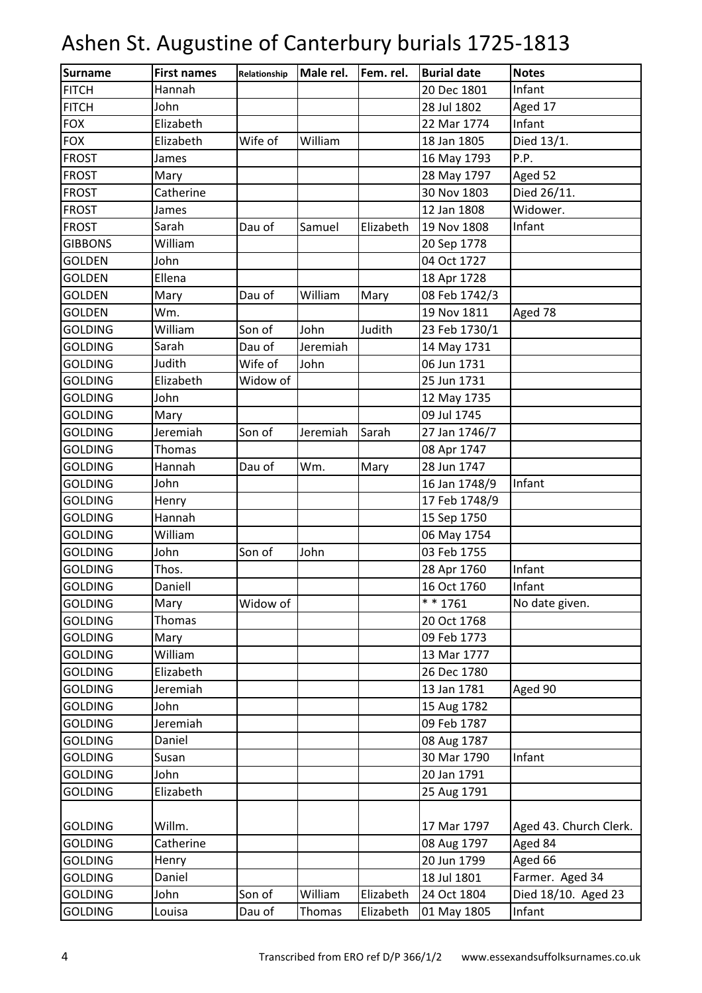| Surname        | <b>First names</b> | Relationship | Male rel. | Fem. rel. | <b>Burial date</b> | <b>Notes</b>           |
|----------------|--------------------|--------------|-----------|-----------|--------------------|------------------------|
| <b>FITCH</b>   | Hannah             |              |           |           | 20 Dec 1801        | Infant                 |
| <b>FITCH</b>   | John               |              |           |           | 28 Jul 1802        | Aged 17                |
| <b>FOX</b>     | Elizabeth          |              |           |           | 22 Mar 1774        | Infant                 |
| <b>FOX</b>     | Elizabeth          | Wife of      | William   |           | 18 Jan 1805        | Died 13/1.             |
| <b>FROST</b>   | James              |              |           |           | 16 May 1793        | P.P.                   |
| <b>FROST</b>   | Mary               |              |           |           | 28 May 1797        | Aged 52                |
| <b>FROST</b>   | Catherine          |              |           |           | 30 Nov 1803        | Died 26/11.            |
| <b>FROST</b>   | James              |              |           |           | 12 Jan 1808        | Widower.               |
| <b>FROST</b>   | Sarah              | Dau of       | Samuel    | Elizabeth | 19 Nov 1808        | Infant                 |
| <b>GIBBONS</b> | William            |              |           |           | 20 Sep 1778        |                        |
| <b>GOLDEN</b>  | John               |              |           |           | 04 Oct 1727        |                        |
| <b>GOLDEN</b>  | Ellena             |              |           |           | 18 Apr 1728        |                        |
| <b>GOLDEN</b>  | Mary               | Dau of       | William   | Mary      | 08 Feb 1742/3      |                        |
| <b>GOLDEN</b>  | Wm.                |              |           |           | 19 Nov 1811        | Aged 78                |
| <b>GOLDING</b> | William            | Son of       | John      | Judith    | 23 Feb 1730/1      |                        |
| <b>GOLDING</b> | Sarah              | Dau of       | Jeremiah  |           | 14 May 1731        |                        |
| <b>GOLDING</b> | Judith             | Wife of      | John      |           | 06 Jun 1731        |                        |
| <b>GOLDING</b> | Elizabeth          | Widow of     |           |           | 25 Jun 1731        |                        |
| <b>GOLDING</b> | John               |              |           |           | 12 May 1735        |                        |
| <b>GOLDING</b> | Mary               |              |           |           | 09 Jul 1745        |                        |
| <b>GOLDING</b> | Jeremiah           | Son of       | Jeremiah  | Sarah     | 27 Jan 1746/7      |                        |
| <b>GOLDING</b> | Thomas             |              |           |           | 08 Apr 1747        |                        |
| <b>GOLDING</b> | Hannah             | Dau of       | Wm.       | Mary      | 28 Jun 1747        |                        |
| <b>GOLDING</b> | John               |              |           |           | 16 Jan 1748/9      | Infant                 |
| <b>GOLDING</b> | Henry              |              |           |           | 17 Feb 1748/9      |                        |
| <b>GOLDING</b> | Hannah             |              |           |           | 15 Sep 1750        |                        |
| <b>GOLDING</b> | William            |              |           |           | 06 May 1754        |                        |
| <b>GOLDING</b> | John               | Son of       | John      |           | 03 Feb 1755        |                        |
| <b>GOLDING</b> | Thos.              |              |           |           | 28 Apr 1760        | Infant                 |
| <b>GOLDING</b> | Daniell            |              |           |           | 16 Oct 1760        | Infant                 |
| <b>GOLDING</b> | Mary               | Widow of     |           |           | ** 1761            | No date given.         |
| <b>GOLDING</b> | Thomas             |              |           |           | 20 Oct 1768        |                        |
| <b>GOLDING</b> | Mary               |              |           |           | 09 Feb 1773        |                        |
| <b>GOLDING</b> | William            |              |           |           | 13 Mar 1777        |                        |
| <b>GOLDING</b> | Elizabeth          |              |           |           | 26 Dec 1780        |                        |
| <b>GOLDING</b> | Jeremiah           |              |           |           | 13 Jan 1781        | Aged 90                |
| <b>GOLDING</b> | John               |              |           |           | 15 Aug 1782        |                        |
| <b>GOLDING</b> | Jeremiah           |              |           |           | 09 Feb 1787        |                        |
| <b>GOLDING</b> | Daniel             |              |           |           | 08 Aug 1787        |                        |
| <b>GOLDING</b> | Susan              |              |           |           | 30 Mar 1790        | Infant                 |
| <b>GOLDING</b> | John               |              |           |           | 20 Jan 1791        |                        |
| <b>GOLDING</b> | Elizabeth          |              |           |           | 25 Aug 1791        |                        |
|                |                    |              |           |           |                    |                        |
| <b>GOLDING</b> | Willm.             |              |           |           | 17 Mar 1797        | Aged 43. Church Clerk. |
| <b>GOLDING</b> | Catherine          |              |           |           | 08 Aug 1797        | Aged 84                |
| <b>GOLDING</b> | Henry              |              |           |           | 20 Jun 1799        | Aged 66                |
| <b>GOLDING</b> | Daniel             |              |           |           | 18 Jul 1801        | Farmer. Aged 34        |
| <b>GOLDING</b> | John               | Son of       | William   | Elizabeth | 24 Oct 1804        | Died 18/10. Aged 23    |
| <b>GOLDING</b> | Louisa             | Dau of       | Thomas    | Elizabeth | 01 May 1805        | Infant                 |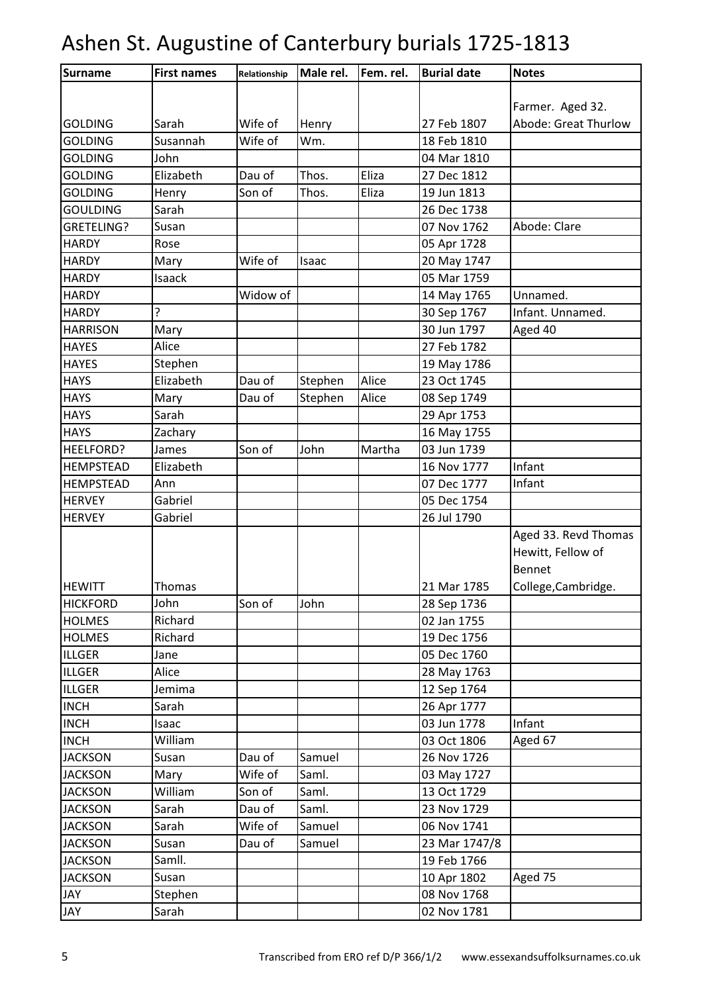| Surname           | <b>First names</b> | Relationship | Male rel. | Fem. rel. | <b>Burial date</b> | <b>Notes</b>         |
|-------------------|--------------------|--------------|-----------|-----------|--------------------|----------------------|
|                   |                    |              |           |           |                    |                      |
|                   |                    |              |           |           |                    | Farmer. Aged 32.     |
| <b>GOLDING</b>    | Sarah              | Wife of      | Henry     |           | 27 Feb 1807        | Abode: Great Thurlow |
| <b>GOLDING</b>    | Susannah           | Wife of      | Wm.       |           | 18 Feb 1810        |                      |
| <b>GOLDING</b>    | John               |              |           |           | 04 Mar 1810        |                      |
| <b>GOLDING</b>    | Elizabeth          | Dau of       | Thos.     | Eliza     | 27 Dec 1812        |                      |
| <b>GOLDING</b>    | Henry              | Son of       | Thos.     | Eliza     | 19 Jun 1813        |                      |
| <b>GOULDING</b>   | Sarah              |              |           |           | 26 Dec 1738        |                      |
| <b>GRETELING?</b> | Susan              |              |           |           | 07 Nov 1762        | Abode: Clare         |
| <b>HARDY</b>      | Rose               |              |           |           | 05 Apr 1728        |                      |
| <b>HARDY</b>      | Mary               | Wife of      | Isaac     |           | 20 May 1747        |                      |
| <b>HARDY</b>      | Isaack             |              |           |           | 05 Mar 1759        |                      |
| <b>HARDY</b>      |                    | Widow of     |           |           | 14 May 1765        | Unnamed.             |
| <b>HARDY</b>      | 5                  |              |           |           | 30 Sep 1767        | Infant. Unnamed.     |
| <b>HARRISON</b>   | Mary               |              |           |           | 30 Jun 1797        | Aged 40              |
| <b>HAYES</b>      | Alice              |              |           |           | 27 Feb 1782        |                      |
| <b>HAYES</b>      | Stephen            |              |           |           | 19 May 1786        |                      |
| <b>HAYS</b>       | Elizabeth          | Dau of       | Stephen   | Alice     | 23 Oct 1745        |                      |
| <b>HAYS</b>       | Mary               | Dau of       | Stephen   | Alice     | 08 Sep 1749        |                      |
| <b>HAYS</b>       | Sarah              |              |           |           | 29 Apr 1753        |                      |
| <b>HAYS</b>       | Zachary            |              |           |           | 16 May 1755        |                      |
| HEELFORD?         | James              | Son of       | John      | Martha    | 03 Jun 1739        |                      |
| <b>HEMPSTEAD</b>  | Elizabeth          |              |           |           | 16 Nov 1777        | Infant               |
| <b>HEMPSTEAD</b>  | Ann                |              |           |           | 07 Dec 1777        | Infant               |
| <b>HERVEY</b>     | Gabriel            |              |           |           | 05 Dec 1754        |                      |
| <b>HERVEY</b>     | Gabriel            |              |           |           | 26 Jul 1790        |                      |
|                   |                    |              |           |           |                    | Aged 33. Revd Thomas |
|                   |                    |              |           |           |                    | Hewitt, Fellow of    |
|                   |                    |              |           |           |                    | Bennet               |
| <b>HEWITT</b>     | Thomas             |              |           |           | 21 Mar 1785        | College, Cambridge.  |
| <b>HICKFORD</b>   | John               | Son of       | John      |           | 28 Sep 1736        |                      |
| <b>HOLMES</b>     | Richard            |              |           |           | 02 Jan 1755        |                      |
| <b>HOLMES</b>     | Richard            |              |           |           | 19 Dec 1756        |                      |
| <b>ILLGER</b>     | Jane               |              |           |           | 05 Dec 1760        |                      |
| <b>ILLGER</b>     | Alice              |              |           |           | 28 May 1763        |                      |
| <b>ILLGER</b>     | Jemima             |              |           |           | 12 Sep 1764        |                      |
| <b>INCH</b>       | Sarah              |              |           |           | 26 Apr 1777        |                      |
| <b>INCH</b>       | Isaac              |              |           |           | 03 Jun 1778        | Infant               |
| <b>INCH</b>       | William            |              |           |           | 03 Oct 1806        | Aged 67              |
| <b>JACKSON</b>    | Susan              | Dau of       | Samuel    |           | 26 Nov 1726        |                      |
| <b>JACKSON</b>    | Mary               | Wife of      | Saml.     |           | 03 May 1727        |                      |
| <b>JACKSON</b>    | William            | Son of       | Saml.     |           | 13 Oct 1729        |                      |
| <b>JACKSON</b>    | Sarah              | Dau of       | Saml.     |           | 23 Nov 1729        |                      |
| <b>JACKSON</b>    | Sarah              | Wife of      | Samuel    |           | 06 Nov 1741        |                      |
| <b>JACKSON</b>    | Susan              | Dau of       | Samuel    |           | 23 Mar 1747/8      |                      |
| <b>JACKSON</b>    | Samll.             |              |           |           | 19 Feb 1766        |                      |
| <b>JACKSON</b>    | Susan              |              |           |           | 10 Apr 1802        | Aged 75              |
| JAY               | Stephen            |              |           |           | 08 Nov 1768        |                      |
| JAY               | Sarah              |              |           |           | 02 Nov 1781        |                      |
|                   |                    |              |           |           |                    |                      |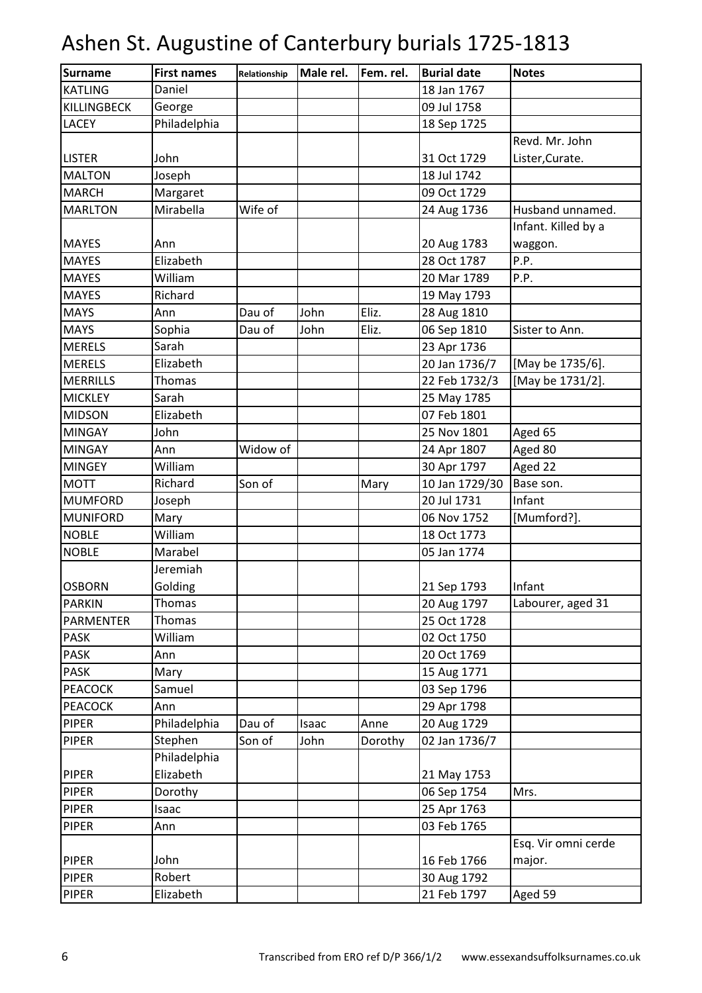| <b>Surname</b>     | <b>First names</b> | Relationship | Male rel. | Fem. rel. | <b>Burial date</b> | <b>Notes</b>        |
|--------------------|--------------------|--------------|-----------|-----------|--------------------|---------------------|
| <b>KATLING</b>     | Daniel             |              |           |           | 18 Jan 1767        |                     |
| <b>KILLINGBECK</b> | George             |              |           |           | 09 Jul 1758        |                     |
| <b>LACEY</b>       | Philadelphia       |              |           |           | 18 Sep 1725        |                     |
|                    |                    |              |           |           |                    | Revd. Mr. John      |
| <b>LISTER</b>      | John               |              |           |           | 31 Oct 1729        | Lister, Curate.     |
| <b>MALTON</b>      | Joseph             |              |           |           | 18 Jul 1742        |                     |
| <b>MARCH</b>       | Margaret           |              |           |           | 09 Oct 1729        |                     |
| <b>MARLTON</b>     | Mirabella          | Wife of      |           |           | 24 Aug 1736        | Husband unnamed.    |
|                    |                    |              |           |           |                    | Infant. Killed by a |
| <b>MAYES</b>       | Ann                |              |           |           | 20 Aug 1783        | waggon.             |
| <b>MAYES</b>       | Elizabeth          |              |           |           | 28 Oct 1787        | P.P.                |
| <b>MAYES</b>       | William            |              |           |           | 20 Mar 1789        | P.P.                |
| <b>MAYES</b>       | Richard            |              |           |           | 19 May 1793        |                     |
| <b>MAYS</b>        | Ann                | Dau of       | John      | Eliz.     | 28 Aug 1810        |                     |
| <b>MAYS</b>        | Sophia             | Dau of       | John      | Eliz.     | 06 Sep 1810        | Sister to Ann.      |
| <b>MERELS</b>      | Sarah              |              |           |           | 23 Apr 1736        |                     |
| <b>MERELS</b>      | Elizabeth          |              |           |           | 20 Jan 1736/7      | [May be 1735/6].    |
| <b>MERRILLS</b>    | Thomas             |              |           |           | 22 Feb 1732/3      | [May be 1731/2].    |
| <b>MICKLEY</b>     | Sarah              |              |           |           | 25 May 1785        |                     |
| <b>MIDSON</b>      | Elizabeth          |              |           |           | 07 Feb 1801        |                     |
| <b>MINGAY</b>      | John               |              |           |           | 25 Nov 1801        | Aged 65             |
| <b>MINGAY</b>      | Ann                | Widow of     |           |           | 24 Apr 1807        | Aged 80             |
| <b>MINGEY</b>      | William            |              |           |           | 30 Apr 1797        | Aged 22             |
| <b>MOTT</b>        | Richard            | Son of       |           | Mary      | 10 Jan 1729/30     | Base son.           |
| <b>MUMFORD</b>     | Joseph             |              |           |           | 20 Jul 1731        | Infant              |
| <b>MUNIFORD</b>    | Mary               |              |           |           | 06 Nov 1752        | [Mumford?].         |
| <b>NOBLE</b>       | William            |              |           |           | 18 Oct 1773        |                     |
| <b>NOBLE</b>       | Marabel            |              |           |           | 05 Jan 1774        |                     |
|                    | Jeremiah           |              |           |           |                    |                     |
| <b>OSBORN</b>      | Golding            |              |           |           | 21 Sep 1793        | Infant              |
| <b>PARKIN</b>      | Thomas             |              |           |           | 20 Aug 1797        | Labourer, aged 31   |
| <b>PARMENTER</b>   | Thomas             |              |           |           | 25 Oct 1728        |                     |
| <b>PASK</b>        | William            |              |           |           | 02 Oct 1750        |                     |
| <b>PASK</b>        | Ann                |              |           |           | 20 Oct 1769        |                     |
| <b>PASK</b>        | Mary               |              |           |           | 15 Aug 1771        |                     |
| <b>PEACOCK</b>     | Samuel             |              |           |           | 03 Sep 1796        |                     |
| <b>PEACOCK</b>     | Ann                |              |           |           | 29 Apr 1798        |                     |
| <b>PIPER</b>       | Philadelphia       | Dau of       | Isaac     | Anne      | 20 Aug 1729        |                     |
| <b>PIPER</b>       | Stephen            | Son of       | John      | Dorothy   | 02 Jan 1736/7      |                     |
|                    | Philadelphia       |              |           |           |                    |                     |
| <b>PIPER</b>       | Elizabeth          |              |           |           | 21 May 1753        |                     |
| <b>PIPER</b>       | Dorothy            |              |           |           | 06 Sep 1754        | Mrs.                |
| <b>PIPER</b>       | Isaac              |              |           |           | 25 Apr 1763        |                     |
| <b>PIPER</b>       | Ann                |              |           |           | 03 Feb 1765        |                     |
|                    |                    |              |           |           |                    | Esq. Vir omni cerde |
| <b>PIPER</b>       | John               |              |           |           | 16 Feb 1766        | major.              |
| <b>PIPER</b>       | Robert             |              |           |           | 30 Aug 1792        |                     |
| <b>PIPER</b>       | Elizabeth          |              |           |           | 21 Feb 1797        | Aged 59             |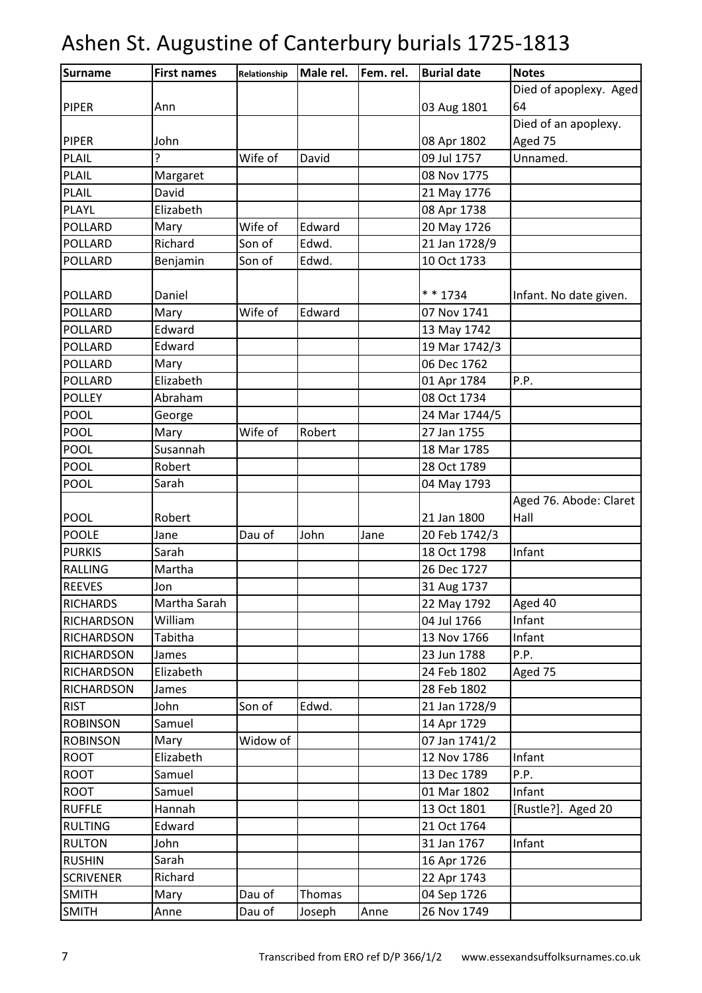#### Surname | First names | Relationship | Male rel. | Fem. rel. | Burial date | Notes PIPER Ann | | | | | | 03 Aug 1801 Died of apoplexy. Aged 64 PIPER John 08 Apr 1802 Died of an apoplexy. Aged 75 PLAIL ? Wife of David 09 Jul 1757 Unnamed. PLAIL Margaret 08 Nov 1775 PLAIL David | | | | | | 21 May 1776 PLAYL Elizabeth 08 Apr 1738 POLLARD Mary Wife of Edward 20 May 1726 POLLARD | Richard | Son of | Edwd. | 21 Jan 1728/9 POLLARD Benjamin Son of Edwd. 1 10 Oct 1733 POLLARD Daniel \* \* 1734 Infant. No date given. POLLARD Mary Wife of Edward 07 Nov 1741 POLLARD Edward 13 May 1742 POLLARD Edward 19 Mar 1742/3 POLLARD Mary 06 Dec 1762 POLLARD Elizabeth 01 Apr 1784 P.P. POLLEY Abraham 08 Oct 1734 POOL George | | | | | 24 Mar 1744/5 POOL Mary Wife of Robert 27 Jan 1755 POOL Susannah 18 Mar 1785 POOL Robert | | | | 28 Oct 1789 POOL Sarah 04 May 1793 POOL Robert 21 Jan 1800 Aged 76. Abode: Claret Hall POOLE Jane Dau of John Jane 20 Feb 1742/3 PURKIS Sarah 18 Oct 1798 Infant RALLING Martha | 26 Dec 1727 REEVES Jon 31 Aug 1737 RICHARDS Martha Sarah 22 May 1792 Aged 40 RICHARDSON William 04 Jul 1766 Infant RICHARDSON Tabitha 13 Nov 1766 Infant RICHARDSON James 23 Jun 1788 P.P. RICHARDSON Elizabeth 24 Feb 1802 Aged 75 RICHARDSON James 28 Feb 1802 RIST John Son of Edwd. 21 Jan 1728/9 ROBINSON Samuel 14 Apr 1729 ROBINSON Mary Widow of 1 07 Jan 1741/2 ROOT Elizabeth 12 Nov 1786 Infant ROOT Samuel 13 Dec 1789 P.P. ROOT Samuel 01 Mar 1802 Infant RUFFLE Hannah 13 Oct 1801 [Rustle?]. Aged 20 RULTING Edward | 21 Oct 1764 RULTON John 1988 | 1988 | 1989 | 1989 | 1989 | 1989 | 1989 | 1989 | 1989 | 1989 | 1989 | 1989 | 198 RUSHIN Sarah | 16 Apr 1726 SCRIVENER Richard | | | | | 22 Apr 1743 SMITH Mary Dau of Thomas | 04 Sep 1726 SMITH Anne Dau of Joseph Anne 26 Nov 1749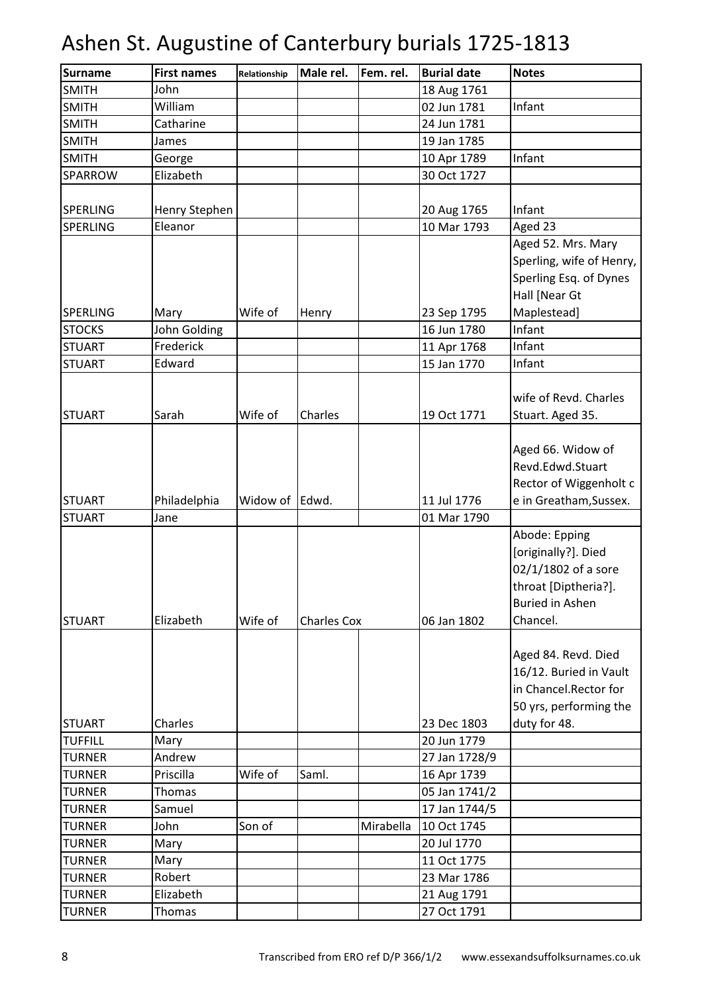| <b>Surname</b>  | <b>First names</b> | Relationship | Male rel.          | Fem. rel. | <b>Burial date</b> | <b>Notes</b>             |
|-----------------|--------------------|--------------|--------------------|-----------|--------------------|--------------------------|
| <b>SMITH</b>    | John               |              |                    |           | 18 Aug 1761        |                          |
| <b>SMITH</b>    | William            |              |                    |           | 02 Jun 1781        | Infant                   |
| <b>SMITH</b>    | Catharine          |              |                    |           | 24 Jun 1781        |                          |
| <b>SMITH</b>    | James              |              |                    |           | 19 Jan 1785        |                          |
| <b>SMITH</b>    | George             |              |                    |           | 10 Apr 1789        | Infant                   |
| SPARROW         | Elizabeth          |              |                    |           | 30 Oct 1727        |                          |
|                 |                    |              |                    |           |                    |                          |
| <b>SPERLING</b> | Henry Stephen      |              |                    |           | 20 Aug 1765        | Infant                   |
| <b>SPERLING</b> | Eleanor            |              |                    |           | 10 Mar 1793        | Aged 23                  |
|                 |                    |              |                    |           |                    | Aged 52. Mrs. Mary       |
|                 |                    |              |                    |           |                    | Sperling, wife of Henry, |
|                 |                    |              |                    |           |                    | Sperling Esq. of Dynes   |
|                 |                    |              |                    |           |                    | Hall [Near Gt            |
| <b>SPERLING</b> | Mary               | Wife of      | Henry              |           | 23 Sep 1795        | Maplestead]              |
| <b>STOCKS</b>   | John Golding       |              |                    |           | 16 Jun 1780        | Infant                   |
| <b>STUART</b>   | Frederick          |              |                    |           | 11 Apr 1768        | Infant                   |
| <b>STUART</b>   | Edward             |              |                    |           | 15 Jan 1770        | Infant                   |
|                 |                    |              |                    |           |                    |                          |
|                 |                    |              |                    |           |                    | wife of Revd. Charles    |
| <b>STUART</b>   | Sarah              | Wife of      | Charles            |           | 19 Oct 1771        | Stuart. Aged 35.         |
|                 |                    |              |                    |           |                    |                          |
|                 |                    |              |                    |           |                    | Aged 66. Widow of        |
|                 |                    |              |                    |           |                    | Revd.Edwd.Stuart         |
|                 |                    |              |                    |           |                    | Rector of Wiggenholt c   |
| <b>STUART</b>   | Philadelphia       | Widow of     | Edwd.              |           | 11 Jul 1776        | e in Greatham, Sussex.   |
| <b>STUART</b>   | Jane               |              |                    |           | 01 Mar 1790        |                          |
|                 |                    |              |                    |           |                    | Abode: Epping            |
|                 |                    |              |                    |           |                    | [originally?]. Died      |
|                 |                    |              |                    |           |                    | 02/1/1802 of a sore      |
|                 |                    |              |                    |           |                    | throat [Diptheria?].     |
|                 |                    |              |                    |           |                    | <b>Buried in Ashen</b>   |
| <b>STUART</b>   | Elizabeth          | Wife of      | <b>Charles Cox</b> |           | 06 Jan 1802        | Chancel.                 |
|                 |                    |              |                    |           |                    |                          |
|                 |                    |              |                    |           |                    | Aged 84. Revd. Died      |
|                 |                    |              |                    |           |                    | 16/12. Buried in Vault   |
|                 |                    |              |                    |           |                    | in Chancel.Rector for    |
|                 |                    |              |                    |           |                    | 50 yrs, performing the   |
| <b>STUART</b>   | Charles            |              |                    |           | 23 Dec 1803        | duty for 48.             |
| <b>TUFFILL</b>  | Mary               |              |                    |           | 20 Jun 1779        |                          |
| <b>TURNER</b>   | Andrew             |              |                    |           | 27 Jan 1728/9      |                          |
| <b>TURNER</b>   | Priscilla          | Wife of      | Saml.              |           | 16 Apr 1739        |                          |
| <b>TURNER</b>   | Thomas             |              |                    |           | 05 Jan 1741/2      |                          |
| <b>TURNER</b>   | Samuel             |              |                    |           | 17 Jan 1744/5      |                          |
| <b>TURNER</b>   | John               | Son of       |                    | Mirabella | 10 Oct 1745        |                          |
| <b>TURNER</b>   | Mary               |              |                    |           | 20 Jul 1770        |                          |
| <b>TURNER</b>   | Mary               |              |                    |           | 11 Oct 1775        |                          |
| <b>TURNER</b>   | Robert             |              |                    |           | 23 Mar 1786        |                          |
| <b>TURNER</b>   | Elizabeth          |              |                    |           | 21 Aug 1791        |                          |
| <b>TURNER</b>   | Thomas             |              |                    |           | 27 Oct 1791        |                          |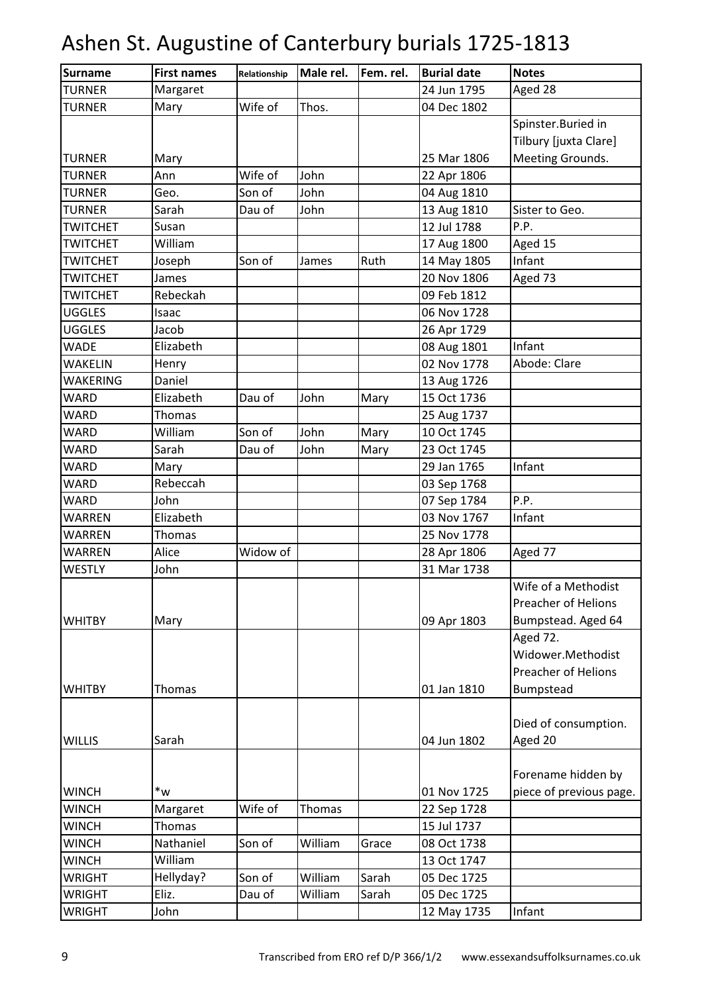| <b>Surname</b>  | <b>First names</b>  | Relationship | Male rel. | Fem. rel. | <b>Burial date</b> | <b>Notes</b>               |
|-----------------|---------------------|--------------|-----------|-----------|--------------------|----------------------------|
| <b>TURNER</b>   | Margaret            |              |           |           | 24 Jun 1795        | Aged 28                    |
| TURNER          | Mary                | Wife of      | Thos.     |           | 04 Dec 1802        |                            |
|                 |                     |              |           |           |                    | Spinster.Buried in         |
|                 |                     |              |           |           |                    | Tilbury [juxta Clare]      |
| <b>TURNER</b>   | Mary                |              |           |           | 25 Mar 1806        | Meeting Grounds.           |
| <b>TURNER</b>   | Ann                 | Wife of      | John      |           | 22 Apr 1806        |                            |
| TURNER          | Geo.                | Son of       | John      |           | 04 Aug 1810        |                            |
| <b>TURNER</b>   | Sarah               | Dau of       | John      |           | 13 Aug 1810        | Sister to Geo.             |
| <b>TWITCHET</b> | Susan               |              |           |           | 12 Jul 1788        | P.P.                       |
| <b>TWITCHET</b> | William             |              |           |           | 17 Aug 1800        | Aged 15                    |
| <b>TWITCHET</b> | Joseph              | Son of       | James     | Ruth      | 14 May 1805        | Infant                     |
| <b>TWITCHET</b> | James               |              |           |           | 20 Nov 1806        | Aged 73                    |
| <b>TWITCHET</b> | Rebeckah            |              |           |           | 09 Feb 1812        |                            |
| <b>UGGLES</b>   | Isaac               |              |           |           | 06 Nov 1728        |                            |
| <b>UGGLES</b>   | Jacob               |              |           |           | 26 Apr 1729        |                            |
| WADE            | Elizabeth           |              |           |           | 08 Aug 1801        | Infant                     |
| WAKELIN         | Henry               |              |           |           | 02 Nov 1778        | Abode: Clare               |
| WAKERING        | Daniel              |              |           |           | 13 Aug 1726        |                            |
| WARD            | Elizabeth           | Dau of       | John      | Mary      | 15 Oct 1736        |                            |
| WARD            | Thomas              |              |           |           | 25 Aug 1737        |                            |
| WARD            | William             | Son of       | John      | Mary      | 10 Oct 1745        |                            |
| WARD            | Sarah               | Dau of       | John      | Mary      | 23 Oct 1745        |                            |
| WARD            | Mary                |              |           |           | 29 Jan 1765        | Infant                     |
| WARD            | Rebeccah            |              |           |           | 03 Sep 1768        |                            |
| WARD            | John                |              |           |           | 07 Sep 1784        | P.P.                       |
| WARREN          | Elizabeth           |              |           |           | 03 Nov 1767        | Infant                     |
| WARREN          | Thomas              |              |           |           | 25 Nov 1778        |                            |
| WARREN          | Alice               | Widow of     |           |           | 28 Apr 1806        | Aged 77                    |
| <b>WESTLY</b>   | John                |              |           |           | 31 Mar 1738        |                            |
|                 |                     |              |           |           |                    | Wife of a Methodist        |
|                 |                     |              |           |           |                    | <b>Preacher of Helions</b> |
| <b>WHITBY</b>   | Mary                |              |           |           | 09 Apr 1803        | Bumpstead. Aged 64         |
|                 |                     |              |           |           |                    | Aged 72.                   |
|                 |                     |              |           |           |                    | Widower.Methodist          |
|                 |                     |              |           |           |                    | <b>Preacher of Helions</b> |
| <b>WHITBY</b>   | Thomas              |              |           |           | 01 Jan 1810        | Bumpstead                  |
|                 |                     |              |           |           |                    |                            |
|                 |                     |              |           |           |                    | Died of consumption.       |
| <b>WILLIS</b>   | Sarah               |              |           |           | 04 Jun 1802        | Aged 20                    |
|                 |                     |              |           |           |                    |                            |
|                 |                     |              |           |           |                    | Forename hidden by         |
| <b>WINCH</b>    | $\ast_{\mathsf{W}}$ |              |           |           | 01 Nov 1725        | piece of previous page.    |
| <b>WINCH</b>    | Margaret            | Wife of      | Thomas    |           | 22 Sep 1728        |                            |
| <b>WINCH</b>    | Thomas              |              |           |           | 15 Jul 1737        |                            |
| <b>WINCH</b>    | Nathaniel           | Son of       | William   | Grace     | 08 Oct 1738        |                            |
| <b>WINCH</b>    | William             |              |           |           | 13 Oct 1747        |                            |
| WRIGHT          | Hellyday?           | Son of       | William   | Sarah     | 05 Dec 1725        |                            |
| WRIGHT          | Eliz.               | Dau of       | William   | Sarah     | 05 Dec 1725        |                            |
| <b>WRIGHT</b>   | John                |              |           |           | 12 May 1735        | Infant                     |
|                 |                     |              |           |           |                    |                            |